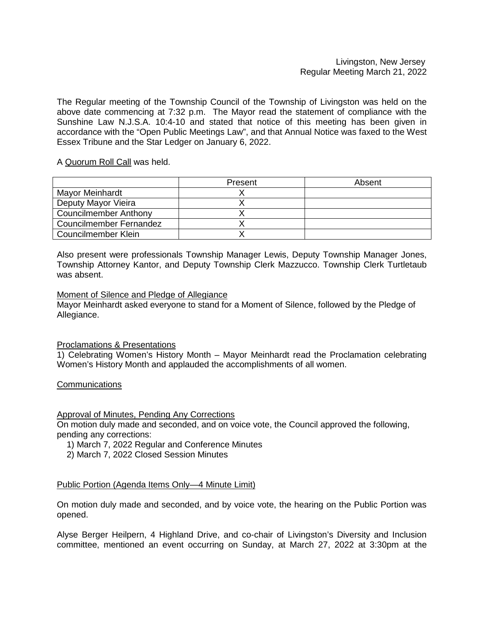# Livingston, New Jersey Regular Meeting March 21, 2022

The Regular meeting of the Township Council of the Township of Livingston was held on the above date commencing at 7:32 p.m. The Mayor read the statement of compliance with the Sunshine Law N.J.S.A. 10:4-10 and stated that notice of this meeting has been given in accordance with the "Open Public Meetings Law", and that Annual Notice was faxed to the West Essex Tribune and the Star Ledger on January 6, 2022.

A Quorum Roll Call was held.

|                         | Present | Absent |
|-------------------------|---------|--------|
| <b>Mayor Meinhardt</b>  |         |        |
| Deputy Mayor Vieira     |         |        |
| Councilmember Anthony   |         |        |
| Councilmember Fernandez |         |        |
| Councilmember Klein     |         |        |

Also present were professionals Township Manager Lewis, Deputy Township Manager Jones, Township Attorney Kantor, and Deputy Township Clerk Mazzucco. Township Clerk Turtletaub was absent.

# Moment of Silence and Pledge of Allegiance

Mayor Meinhardt asked everyone to stand for a Moment of Silence, followed by the Pledge of Allegiance.

# Proclamations & Presentations

1) Celebrating Women's History Month – Mayor Meinhardt read the Proclamation celebrating Women's History Month and applauded the accomplishments of all women.

**Communications** 

Approval of Minutes, Pending Any Corrections

On motion duly made and seconded, and on voice vote, the Council approved the following, pending any corrections:

1) March 7, 2022 Regular and Conference Minutes

2) March 7, 2022 Closed Session Minutes

# Public Portion (Agenda Items Only—4 Minute Limit)

On motion duly made and seconded, and by voice vote, the hearing on the Public Portion was opened.

Alyse Berger Heilpern, 4 Highland Drive, and co-chair of Livingston's Diversity and Inclusion committee, mentioned an event occurring on Sunday, at March 27, 2022 at 3:30pm at the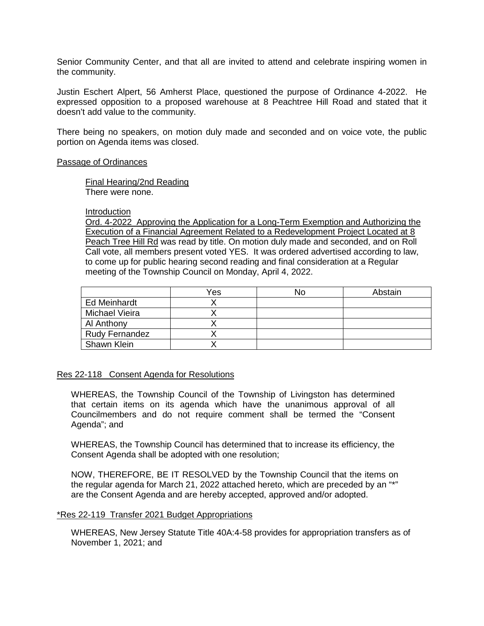Senior Community Center, and that all are invited to attend and celebrate inspiring women in the community.

Justin Eschert Alpert, 56 Amherst Place, questioned the purpose of Ordinance 4-2022. He expressed opposition to a proposed warehouse at 8 Peachtree Hill Road and stated that it doesn't add value to the community.

There being no speakers, on motion duly made and seconded and on voice vote, the public portion on Agenda items was closed.

#### Passage of Ordinances

Final Hearing/2nd Reading There were none.

## Introduction

Ord. 4-2022 Approving the Application for a Long-Term Exemption and Authorizing the Execution of a Financial Agreement Related to a Redevelopment Project Located at 8 Peach Tree Hill Rd was read by title. On motion duly made and seconded, and on Roll Call vote, all members present voted YES. It was ordered advertised according to law, to come up for public hearing second reading and final consideration at a Regular meeting of the Township Council on Monday, April 4, 2022.

|                       | Yes | No | Abstain |
|-----------------------|-----|----|---------|
| Ed Meinhardt          |     |    |         |
| Michael Vieira        |     |    |         |
| Al Anthony            |     |    |         |
| <b>Rudy Fernandez</b> |     |    |         |
| <b>Shawn Klein</b>    |     |    |         |

# Res 22-118 Consent Agenda for Resolutions

WHEREAS, the Township Council of the Township of Livingston has determined that certain items on its agenda which have the unanimous approval of all Councilmembers and do not require comment shall be termed the "Consent Agenda"; and

WHEREAS, the Township Council has determined that to increase its efficiency, the Consent Agenda shall be adopted with one resolution;

NOW, THEREFORE, BE IT RESOLVED by the Township Council that the items on the regular agenda for March 21, 2022 attached hereto, which are preceded by an "\*" are the Consent Agenda and are hereby accepted, approved and/or adopted.

## \*Res 22-119 Transfer 2021 Budget Appropriations

WHEREAS, New Jersey Statute Title 40A:4-58 provides for appropriation transfers as of November 1, 2021; and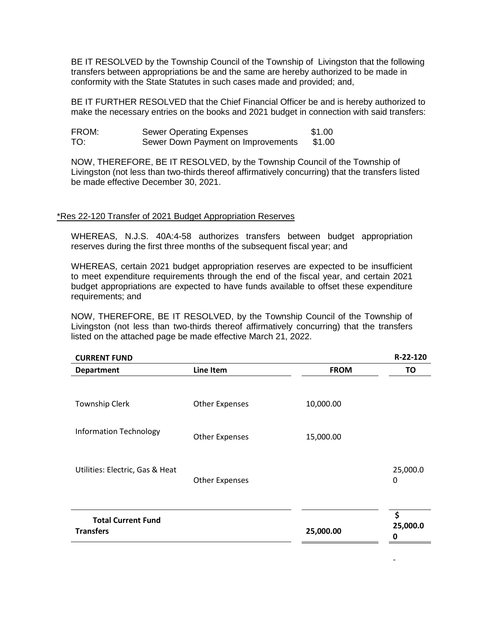BE IT RESOLVED by the Township Council of the Township of Livingston that the following transfers between appropriations be and the same are hereby authorized to be made in conformity with the State Statutes in such cases made and provided; and,

BE IT FURTHER RESOLVED that the Chief Financial Officer be and is hereby authorized to make the necessary entries on the books and 2021 budget in connection with said transfers:

| FROM: | <b>Sewer Operating Expenses</b>    | \$1.00 |
|-------|------------------------------------|--------|
| TO:   | Sewer Down Payment on Improvements | \$1.00 |

NOW, THEREFORE, BE IT RESOLVED, by the Township Council of the Township of Livingston (not less than two-thirds thereof affirmatively concurring) that the transfers listed be made effective December 30, 2021.

## \*Res 22-120 Transfer of 2021 Budget Appropriation Reserves

WHEREAS, N.J.S. 40A:4-58 authorizes transfers between budget appropriation reserves during the first three months of the subsequent fiscal year; and

WHEREAS, certain 2021 budget appropriation reserves are expected to be insufficient to meet expenditure requirements through the end of the fiscal year, and certain 2021 budget appropriations are expected to have funds available to offset these expenditure requirements; and

NOW, THEREFORE, BE IT RESOLVED, by the Township Council of the Township of Livingston (not less than two-thirds thereof affirmatively concurring) that the transfers listed on the attached page be made effective March 21, 2022.

| <b>CURRENT FUND</b>             |                       |             | R-22-120                |
|---------------------------------|-----------------------|-------------|-------------------------|
| <b>Department</b>               | Line Item             | <b>FROM</b> | ΤO                      |
|                                 |                       |             |                         |
| <b>Township Clerk</b>           | <b>Other Expenses</b> | 10,000.00   |                         |
| <b>Information Technology</b>   |                       |             |                         |
|                                 | <b>Other Expenses</b> | 15,000.00   |                         |
|                                 |                       |             |                         |
| Utilities: Electric, Gas & Heat | <b>Other Expenses</b> |             | 25,000.0<br>$\mathbf 0$ |
|                                 |                       |             |                         |
| <b>Total Current Fund</b>       |                       |             | \$                      |
| <b>Transfers</b>                |                       | 25,000.00   | 25,000.0<br>O           |
|                                 |                       |             |                         |

-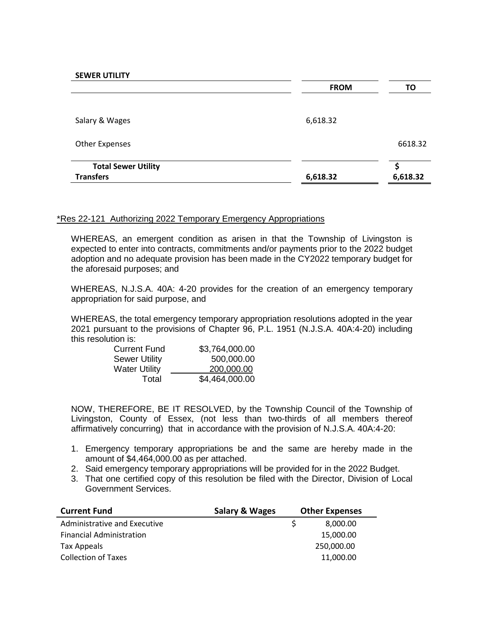**SEWER UTILITY**

|                                                | <b>FROM</b> | ΤO       |
|------------------------------------------------|-------------|----------|
| Salary & Wages                                 | 6,618.32    |          |
| <b>Other Expenses</b>                          |             | 6618.32  |
| <b>Total Sewer Utility</b><br><b>Transfers</b> | 6,618.32    | 6,618.32 |

## \*Res 22-121 Authorizing 2022 Temporary Emergency Appropriations

WHEREAS, an emergent condition as arisen in that the Township of Livingston is expected to enter into contracts, commitments and/or payments prior to the 2022 budget adoption and no adequate provision has been made in the CY2022 temporary budget for the aforesaid purposes; and

WHEREAS, N.J.S.A. 40A: 4-20 provides for the creation of an emergency temporary appropriation for said purpose, and

WHEREAS, the total emergency temporary appropriation resolutions adopted in the year 2021 pursuant to the provisions of Chapter 96, P.L. 1951 (N.J.S.A. 40A:4-20) including this resolution is:

| <b>Current Fund</b>  | \$3,764,000.00 |
|----------------------|----------------|
| <b>Sewer Utility</b> | 500,000.00     |
| <b>Water Utility</b> | 200,000.00     |
| Total                | \$4,464,000.00 |

NOW, THEREFORE, BE IT RESOLVED, by the Township Council of the Township of Livingston, County of Essex, (not less than two-thirds of all members thereof affirmatively concurring) that in accordance with the provision of N.J.S.A. 40A:4-20:

- 1. Emergency temporary appropriations be and the same are hereby made in the amount of \$4,464,000.00 as per attached.
- 2. Said emergency temporary appropriations will be provided for in the 2022 Budget.
- 3. That one certified copy of this resolution be filed with the Director, Division of Local Government Services.

| <b>Current Fund</b>             | Salary & Wages | <b>Other Expenses</b> |  |
|---------------------------------|----------------|-----------------------|--|
| Administrative and Executive    |                | 8,000.00              |  |
| <b>Financial Administration</b> |                | 15,000.00             |  |
| Tax Appeals                     |                | 250,000.00            |  |
| <b>Collection of Taxes</b>      |                | 11,000.00             |  |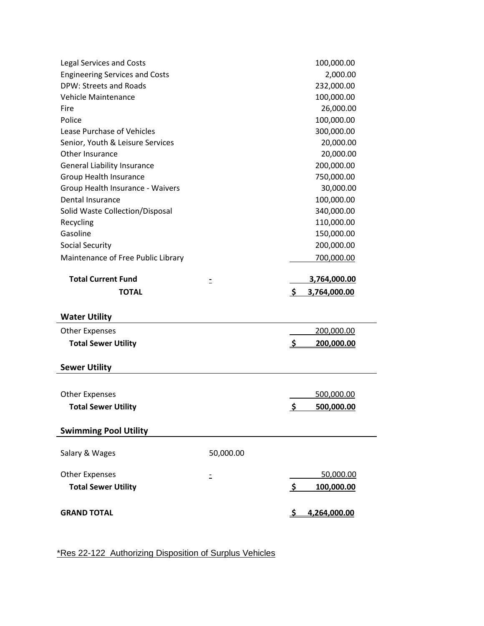| <b>Legal Services and Costs</b>       | 100,000.00                               |  |
|---------------------------------------|------------------------------------------|--|
| <b>Engineering Services and Costs</b> | 2,000.00                                 |  |
| <b>DPW: Streets and Roads</b>         | 232,000.00                               |  |
| <b>Vehicle Maintenance</b>            | 100,000.00                               |  |
| Fire                                  | 26,000.00                                |  |
| Police                                | 100,000.00                               |  |
| Lease Purchase of Vehicles            | 300,000.00                               |  |
| Senior, Youth & Leisure Services      | 20,000.00                                |  |
| Other Insurance                       | 20,000.00                                |  |
| <b>General Liability Insurance</b>    | 200,000.00                               |  |
| Group Health Insurance                | 750,000.00                               |  |
| Group Health Insurance - Waivers      | 30,000.00                                |  |
| Dental Insurance                      | 100,000.00                               |  |
| Solid Waste Collection/Disposal       | 340,000.00                               |  |
| Recycling                             | 110,000.00                               |  |
| Gasoline                              | 150,000.00                               |  |
| <b>Social Security</b>                | 200,000.00                               |  |
| Maintenance of Free Public Library    | 700,000.00                               |  |
| <b>Total Current Fund</b>             | 3,764,000.00<br>$\overline{\phantom{a}}$ |  |
| <b>TOTAL</b>                          |                                          |  |
|                                       | \$<br>3,764,000.00                       |  |
|                                       |                                          |  |
| <b>Water Utility</b>                  |                                          |  |
| <b>Other Expenses</b>                 | 200,000.00                               |  |
| <b>Total Sewer Utility</b>            | 200,000.00<br>\$                         |  |
|                                       |                                          |  |
| <b>Sewer Utility</b>                  |                                          |  |
| <b>Other Expenses</b>                 | 500,000.00                               |  |
| <b>Total Sewer Utility</b>            | \$<br>500,000.00                         |  |
|                                       |                                          |  |
| <b>Swimming Pool Utility</b>          |                                          |  |
|                                       |                                          |  |
| Salary & Wages                        | 50,000.00                                |  |
| <b>Other Expenses</b>                 | 50,000.00                                |  |
| <b>Total Sewer Utility</b>            | \$<br>100,000.00                         |  |
|                                       |                                          |  |

\*Res 22-122 Authorizing Disposition of Surplus Vehicles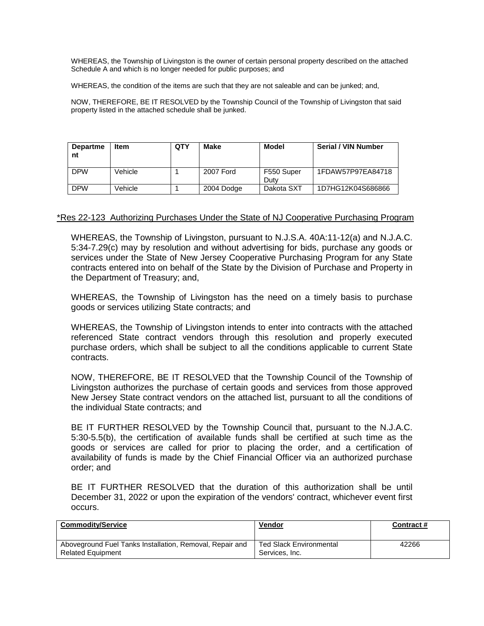WHEREAS, the Township of Livingston is the owner of certain personal property described on the attached Schedule A and which is no longer needed for public purposes; and

WHEREAS, the condition of the items are such that they are not saleable and can be junked; and,

NOW, THEREFORE, BE IT RESOLVED by the Township Council of the Township of Livingston that said property listed in the attached schedule shall be junked.

| <b>Departme</b><br>nt | Item    | QTY | <b>Make</b> | Model              | <b>Serial / VIN Number</b> |
|-----------------------|---------|-----|-------------|--------------------|----------------------------|
| <b>DPW</b>            | Vehicle |     | 2007 Ford   | F550 Super<br>Dutv | 1FDAW57P97EA84718          |
| <b>DPW</b>            | Vehicle |     | 2004 Dodge  | Dakota SXT         | 1D7HG12K04S686866          |

#### \*Res 22-123 Authorizing Purchases Under the State of NJ Cooperative Purchasing Program

WHEREAS, the Township of Livingston, pursuant to N.J.S.A. 40A:11-12(a) and N.J.A.C. 5:34-7.29(c) may by resolution and without advertising for bids, purchase any goods or services under the State of New Jersey Cooperative Purchasing Program for any State contracts entered into on behalf of the State by the Division of Purchase and Property in the Department of Treasury; and,

WHEREAS, the Township of Livingston has the need on a timely basis to purchase goods or services utilizing State contracts; and

WHEREAS, the Township of Livingston intends to enter into contracts with the attached referenced State contract vendors through this resolution and properly executed purchase orders, which shall be subject to all the conditions applicable to current State contracts.

NOW, THEREFORE, BE IT RESOLVED that the Township Council of the Township of Livingston authorizes the purchase of certain goods and services from those approved New Jersey State contract vendors on the attached list, pursuant to all the conditions of the individual State contracts; and

BE IT FURTHER RESOLVED by the Township Council that, pursuant to the N.J.A.C. 5:30-5.5(b), the certification of available funds shall be certified at such time as the goods or services are called for prior to placing the order, and a certification of availability of funds is made by the Chief Financial Officer via an authorized purchase order; and

BE IT FURTHER RESOLVED that the duration of this authorization shall be until December 31, 2022 or upon the expiration of the vendors' contract, whichever event first occurs.

| <b>Commodity/Service</b>                                                             | <b>Vendor</b>                                    | Contract# |
|--------------------------------------------------------------------------------------|--------------------------------------------------|-----------|
|                                                                                      |                                                  |           |
| Aboveground Fuel Tanks Installation, Removal, Repair and<br><b>Related Equipment</b> | <b>Ted Slack Environmental</b><br>Services, Inc. | 42266     |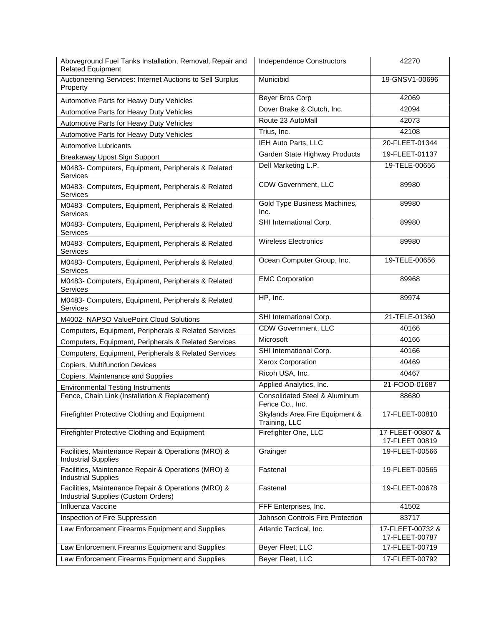| Aboveground Fuel Tanks Installation, Removal, Repair and<br><b>Related Equipment</b>               | Independence Constructors                                   | 42270                              |
|----------------------------------------------------------------------------------------------------|-------------------------------------------------------------|------------------------------------|
| Auctioneering Services: Internet Auctions to Sell Surplus<br>Property                              | Municibid                                                   | 19-GNSV1-00696                     |
| Automotive Parts for Heavy Duty Vehicles                                                           | Beyer Bros Corp                                             | 42069                              |
| Automotive Parts for Heavy Duty Vehicles                                                           | Dover Brake & Clutch, Inc.                                  | 42094                              |
| Automotive Parts for Heavy Duty Vehicles                                                           | Route 23 AutoMall                                           | 42073                              |
| Automotive Parts for Heavy Duty Vehicles                                                           | Trius, Inc.                                                 | 42108                              |
| <b>Automotive Lubricants</b>                                                                       | IEH Auto Parts, LLC                                         | 20-FLEET-01344                     |
| Breakaway Upost Sign Support                                                                       | Garden State Highway Products                               | 19-FLEET-01137                     |
| M0483- Computers, Equipment, Peripherals & Related<br>Services                                     | Dell Marketing L.P.                                         | 19-TELE-00656                      |
| M0483- Computers, Equipment, Peripherals & Related<br><b>Services</b>                              | CDW Government, LLC                                         | 89980                              |
| M0483- Computers, Equipment, Peripherals & Related<br>Services                                     | Gold Type Business Machines,<br>Inc.                        | 89980                              |
| M0483- Computers, Equipment, Peripherals & Related<br>Services                                     | SHI International Corp.                                     | 89980                              |
| M0483- Computers, Equipment, Peripherals & Related<br>Services                                     | <b>Wireless Electronics</b>                                 | 89980                              |
| M0483- Computers, Equipment, Peripherals & Related<br>Services                                     | Ocean Computer Group, Inc.                                  | 19-TELE-00656                      |
| M0483- Computers, Equipment, Peripherals & Related<br><b>Services</b>                              | <b>EMC Corporation</b>                                      | 89968                              |
| M0483- Computers, Equipment, Peripherals & Related<br>Services                                     | HP, Inc.                                                    | 89974                              |
| M4002- NAPSO ValuePoint Cloud Solutions                                                            | SHI International Corp.                                     | 21-TELE-01360                      |
| Computers, Equipment, Peripherals & Related Services                                               | CDW Government, LLC                                         | 40166                              |
| Computers, Equipment, Peripherals & Related Services                                               | Microsoft                                                   | 40166                              |
| Computers, Equipment, Peripherals & Related Services                                               | SHI International Corp.                                     | 40166                              |
| <b>Copiers, Multifunction Devices</b>                                                              | <b>Xerox Corporation</b>                                    | 40469                              |
| Copiers, Maintenance and Supplies                                                                  | Ricoh USA, Inc.                                             | 40467                              |
| <b>Environmental Testing Instruments</b>                                                           | Applied Analytics, Inc.                                     | 21-FOOD-01687                      |
| Fence, Chain Link (Installation & Replacement)                                                     | <b>Consolidated Steel &amp; Aluminum</b><br>Fence Co., Inc. | 88680                              |
| Firefighter Protective Clothing and Equipment                                                      | Skylands Area Fire Equipment &<br>Training, LLC             | 17-FLEET-00810                     |
| Firefighter Protective Clothing and Equipment                                                      | Firefighter One, LLC                                        | 17-FLEET-00807 &<br>17-FLEET 00819 |
| Facilities, Maintenance Repair & Operations (MRO) &<br><b>Industrial Supplies</b>                  | Grainger                                                    | 19-FLEET-00566                     |
| Facilities, Maintenance Repair & Operations (MRO) &<br><b>Industrial Supplies</b>                  | Fastenal                                                    | 19-FLEET-00565                     |
| Facilities, Maintenance Repair & Operations (MRO) &<br>Industrial Supplies (Custom Orders)         | Fastenal                                                    | 19-FLEET-00678                     |
|                                                                                                    |                                                             |                                    |
| Influenza Vaccine                                                                                  | FFF Enterprises, Inc.                                       | 41502                              |
| Inspection of Fire Suppression                                                                     | Johnson Controls Fire Protection                            | 83717                              |
| Law Enforcement Firearms Equipment and Supplies                                                    | Atlantic Tactical, Inc.                                     | 17-FLEET-00732 &<br>17-FLEET-00787 |
| Law Enforcement Firearms Equipment and Supplies<br>Law Enforcement Firearms Equipment and Supplies | Beyer Fleet, LLC<br>Beyer Fleet, LLC                        | 17-FLEET-00719                     |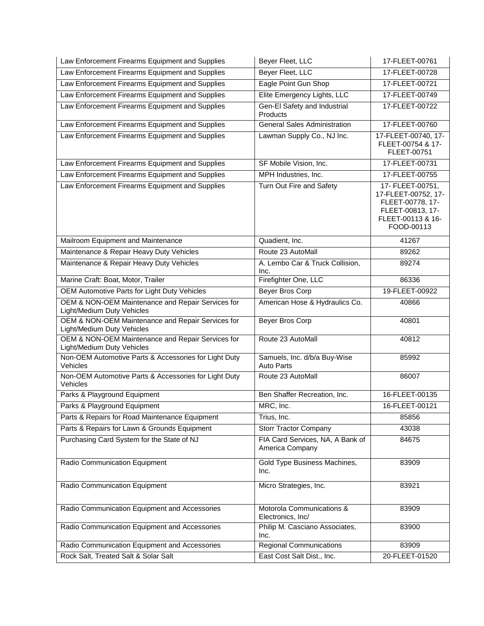| Law Enforcement Firearms Equipment and Supplies                                 | Beyer Fleet, LLC                                    | 17-FLEET-00761                                                                                                     |
|---------------------------------------------------------------------------------|-----------------------------------------------------|--------------------------------------------------------------------------------------------------------------------|
| Law Enforcement Firearms Equipment and Supplies                                 | Beyer Fleet, LLC                                    | 17-FLEET-00728                                                                                                     |
| Law Enforcement Firearms Equipment and Supplies                                 | Eagle Point Gun Shop                                | 17-FLEET-00721                                                                                                     |
| Law Enforcement Firearms Equipment and Supplies                                 | Elite Emergency Lights, LLC                         | 17-FLEET-00749                                                                                                     |
| Law Enforcement Firearms Equipment and Supplies                                 | Gen-El Safety and Industrial<br>Products            | 17-FLEET-00722                                                                                                     |
| Law Enforcement Firearms Equipment and Supplies                                 | <b>General Sales Administration</b>                 | 17-FLEET-00760                                                                                                     |
| Law Enforcement Firearms Equipment and Supplies                                 | Lawman Supply Co., NJ Inc.                          | 17-FLEET-00740, 17-<br>FLEET-00754 & 17-<br>FLEET-00751                                                            |
| Law Enforcement Firearms Equipment and Supplies                                 | SF Mobile Vision, Inc.                              | 17-FLEET-00731                                                                                                     |
| Law Enforcement Firearms Equipment and Supplies                                 | MPH Industries, Inc.                                | 17-FLEET-00755                                                                                                     |
| Law Enforcement Firearms Equipment and Supplies                                 | Turn Out Fire and Safety                            | 17- FLEET-00751,<br>17-FLEET-00752, 17-<br>FLEET-00778, 17-<br>FLEET-00813, 17-<br>FLEET-00113 & 16-<br>FOOD-00113 |
| Mailroom Equipment and Maintenance                                              | Quadient, Inc.                                      | 41267                                                                                                              |
| Maintenance & Repair Heavy Duty Vehicles                                        | Route 23 AutoMall                                   | 89262                                                                                                              |
| Maintenance & Repair Heavy Duty Vehicles                                        | A. Lembo Car & Truck Collision,<br>Inc.             | 89274                                                                                                              |
| Marine Craft: Boat, Motor, Trailer                                              | Firefighter One, LLC                                | 86336                                                                                                              |
| OEM Automotive Parts for Light Duty Vehicles                                    | <b>Beyer Bros Corp</b>                              | 19-FLEET-00922                                                                                                     |
| OEM & NON-OEM Maintenance and Repair Services for<br>Light/Medium Duty Vehicles | American Hose & Hydraulics Co.                      | 40866                                                                                                              |
| OEM & NON-OEM Maintenance and Repair Services for<br>Light/Medium Duty Vehicles | Beyer Bros Corp                                     | 40801                                                                                                              |
| OEM & NON-OEM Maintenance and Repair Services for<br>Light/Medium Duty Vehicles | Route 23 AutoMall                                   | 40812                                                                                                              |
| Non-OEM Automotive Parts & Accessories for Light Duty<br>Vehicles               | Samuels, Inc. d/b/a Buy-Wise<br><b>Auto Parts</b>   | 85992                                                                                                              |
| Non-OEM Automotive Parts & Accessories for Light Duty<br>Vehicles               | Route 23 AutoMall                                   | 86007                                                                                                              |
| Parks & Playground Equipment                                                    | Ben Shaffer Recreation, Inc.                        | 16-FLEET-00135                                                                                                     |
| Parks & Playground Equipment                                                    | MRC, Inc.                                           | 16-FLEET-00121                                                                                                     |
| Parts & Repairs for Road Maintenance Equipment                                  | Trius, Inc.                                         | 85856                                                                                                              |
| Parts & Repairs for Lawn & Grounds Equipment                                    | Storr Tractor Company                               | 43038                                                                                                              |
| Purchasing Card System for the State of NJ                                      | FIA Card Services, NA, A Bank of<br>America Company | 84675                                                                                                              |
| Radio Communication Equipment                                                   | Gold Type Business Machines,<br>Inc.                | 83909                                                                                                              |
| Radio Communication Equipment                                                   | Micro Strategies, Inc.                              | 83921                                                                                                              |
| Radio Communication Equipment and Accessories                                   | Motorola Communications &<br>Electronics, Inc/      | 83909                                                                                                              |
| Radio Communication Equipment and Accessories                                   | Philip M. Casciano Associates,<br>Inc.              | 83900                                                                                                              |
| Radio Communication Equipment and Accessories                                   | <b>Regional Communications</b>                      | 83909                                                                                                              |
| Rock Salt, Treated Salt & Solar Salt                                            | East Cost Salt Dist., Inc.                          | 20-FLEET-01520                                                                                                     |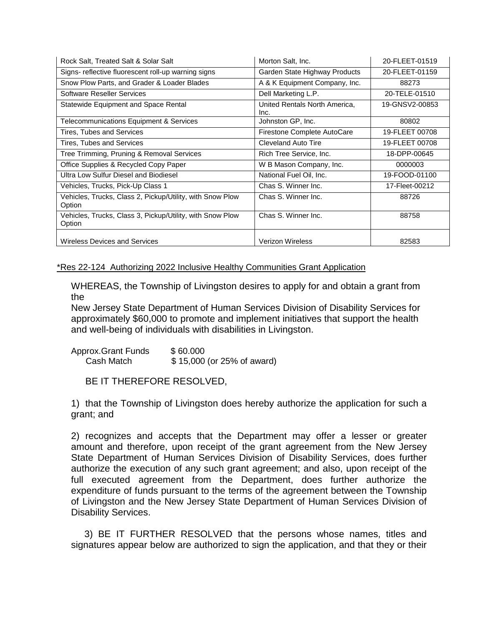| Rock Salt, Treated Salt & Solar Salt                                | Morton Salt, Inc.                     | 20-FLEET-01519 |
|---------------------------------------------------------------------|---------------------------------------|----------------|
| Signs- reflective fluorescent roll-up warning signs                 | Garden State Highway Products         | 20-FLEET-01159 |
| Snow Plow Parts, and Grader & Loader Blades                         | A & K Equipment Company, Inc.         | 88273          |
| Software Reseller Services                                          | Dell Marketing L.P.                   | 20-TELE-01510  |
| Statewide Equipment and Space Rental                                | United Rentals North America,<br>Inc. | 19-GNSV2-00853 |
| Telecommunications Equipment & Services                             | Johnston GP, Inc.                     | 80802          |
| Tires, Tubes and Services                                           | Firestone Complete AutoCare           | 19-FLEET 00708 |
| Tires, Tubes and Services                                           | Cleveland Auto Tire                   | 19-FLEET 00708 |
| Tree Trimming, Pruning & Removal Services                           | Rich Tree Service, Inc.               | 18-DPP-00645   |
| Office Supplies & Recycled Copy Paper                               | W B Mason Company, Inc.               | 0000003        |
| Ultra Low Sulfur Diesel and Biodiesel                               | National Fuel Oil, Inc.               | 19-FOOD-01100  |
| Vehicles, Trucks, Pick-Up Class 1                                   | Chas S. Winner Inc.                   | 17-Fleet-00212 |
| Vehicles, Trucks, Class 2, Pickup/Utility, with Snow Plow<br>Option | Chas S. Winner Inc.                   | 88726          |
| Vehicles, Trucks, Class 3, Pickup/Utility, with Snow Plow<br>Option | Chas S. Winner Inc.                   | 88758          |
| Wireless Devices and Services                                       | <b>Verizon Wireless</b>               | 82583          |

\*Res 22-124 Authorizing 2022 Inclusive Healthy Communities Grant Application

WHEREAS, the Township of Livingston desires to apply for and obtain a grant from the

New Jersey State Department of Human Services Division of Disability Services for approximately \$60,000 to promote and implement initiatives that support the health and well-being of individuals with disabilities in Livingston.

Approx.Grant Funds \$60.000 Cash Match \$ 15,000 (or 25% of award)

BE IT THEREFORE RESOLVED,

1) that the Township of Livingston does hereby authorize the application for such a grant; and

2) recognizes and accepts that the Department may offer a lesser or greater amount and therefore, upon receipt of the grant agreement from the New Jersey State Department of Human Services Division of Disability Services, does further authorize the execution of any such grant agreement; and also, upon receipt of the full executed agreement from the Department, does further authorize the expenditure of funds pursuant to the terms of the agreement between the Township of Livingston and the New Jersey State Department of Human Services Division of Disability Services.

 3) BE IT FURTHER RESOLVED that the persons whose names, titles and signatures appear below are authorized to sign the application, and that they or their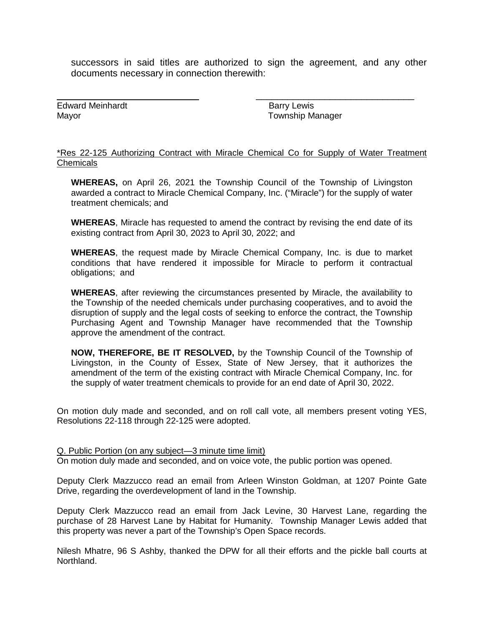successors in said titles are authorized to sign the agreement, and any other documents necessary in connection therewith:

Edward Meinhardt **Barry Lewis** Barry Lewis

Mayor **Mayor** Manager **Manager** Township Manager

\_\_\_\_\_\_\_\_\_\_\_\_\_\_\_\_\_\_\_\_\_\_\_\_\_\_\_\_\_\_

# \*Res 22-125 Authorizing Contract with Miracle Chemical Co for Supply of Water Treatment **Chemicals**

**WHEREAS,** on April 26, 2021 the Township Council of the Township of Livingston awarded a contract to Miracle Chemical Company, Inc. ("Miracle") for the supply of water treatment chemicals; and

**WHEREAS**, Miracle has requested to amend the contract by revising the end date of its existing contract from April 30, 2023 to April 30, 2022; and

**WHEREAS**, the request made by Miracle Chemical Company, Inc. is due to market conditions that have rendered it impossible for Miracle to perform it contractual obligations; and

**WHEREAS**, after reviewing the circumstances presented by Miracle, the availability to the Township of the needed chemicals under purchasing cooperatives, and to avoid the disruption of supply and the legal costs of seeking to enforce the contract, the Township Purchasing Agent and Township Manager have recommended that the Township approve the amendment of the contract.

**NOW, THEREFORE, BE IT RESOLVED,** by the Township Council of the Township of Livingston, in the County of Essex, State of New Jersey, that it authorizes the amendment of the term of the existing contract with Miracle Chemical Company, Inc. for the supply of water treatment chemicals to provide for an end date of April 30, 2022.

On motion duly made and seconded, and on roll call vote, all members present voting YES, Resolutions 22-118 through 22-125 were adopted.

# Q. Public Portion (on any subject—3 minute time limit)

On motion duly made and seconded, and on voice vote, the public portion was opened.

Deputy Clerk Mazzucco read an email from Arleen Winston Goldman, at 1207 Pointe Gate Drive, regarding the overdevelopment of land in the Township.

Deputy Clerk Mazzucco read an email from Jack Levine, 30 Harvest Lane, regarding the purchase of 28 Harvest Lane by Habitat for Humanity. Township Manager Lewis added that this property was never a part of the Township's Open Space records.

Nilesh Mhatre, 96 S Ashby, thanked the DPW for all their efforts and the pickle ball courts at Northland.